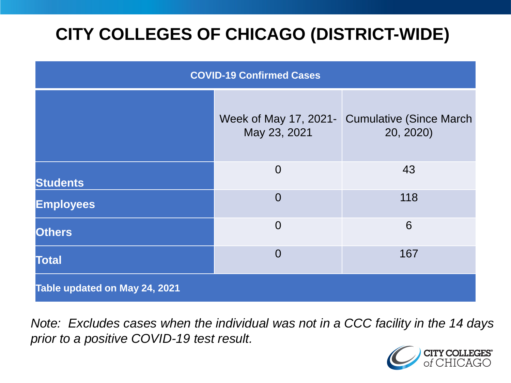# **CITY COLLEGES OF CHICAGO (DISTRICT-WIDE)**

| <b>COVID-19 Confirmed Cases</b> |                                       |                                              |
|---------------------------------|---------------------------------------|----------------------------------------------|
|                                 | Week of May 17, 2021-<br>May 23, 2021 | <b>Cumulative (Since March)</b><br>20, 2020) |
| <b>Students</b>                 | $\overline{0}$                        | 43                                           |
| <b>Employees</b>                | $\Omega$                              | 118                                          |
| <b>Others</b>                   | $\overline{0}$                        | 6                                            |
| <b>Total</b>                    | $\Omega$                              | 167                                          |
| Table updated on May 24, 2021   |                                       |                                              |

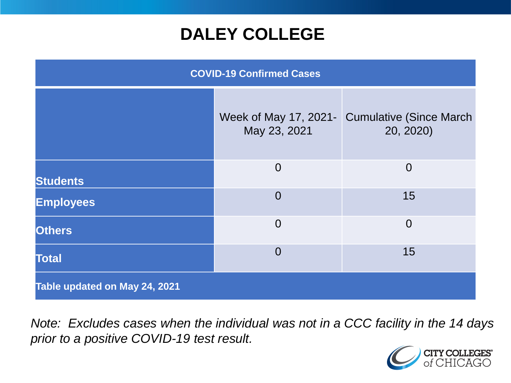### **DALEY COLLEGE**

| <b>COVID-19 Confirmed Cases</b> |                                       |                                              |
|---------------------------------|---------------------------------------|----------------------------------------------|
|                                 | Week of May 17, 2021-<br>May 23, 2021 | <b>Cumulative (Since March)</b><br>20, 2020) |
| <b>Students</b>                 | $\overline{0}$                        | $\overline{0}$                               |
| <b>Employees</b>                | $\overline{0}$                        | 15                                           |
| <b>Others</b>                   | $\overline{0}$                        | $\overline{0}$                               |
| <b>Total</b>                    | $\overline{0}$                        | 15                                           |
| Table updated on May 24, 2021   |                                       |                                              |

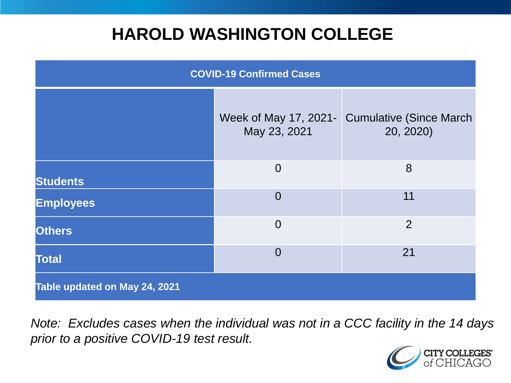### **HAROLD WASHINGTON COLLEGE**

| <b>COVID-19 Confirmed Cases</b> |                                       |                                              |
|---------------------------------|---------------------------------------|----------------------------------------------|
|                                 | Week of May 17, 2021-<br>May 23, 2021 | <b>Cumulative (Since March)</b><br>20, 2020) |
| <b>Students</b>                 | $\overline{0}$                        | 8                                            |
| <b>Employees</b>                | $\Omega$                              | 11                                           |
| <b>Others</b>                   | $\overline{0}$                        | 2                                            |
| <b>Total</b>                    | $\Omega$                              | 21                                           |
| Table updated on May 24, 2021   |                                       |                                              |

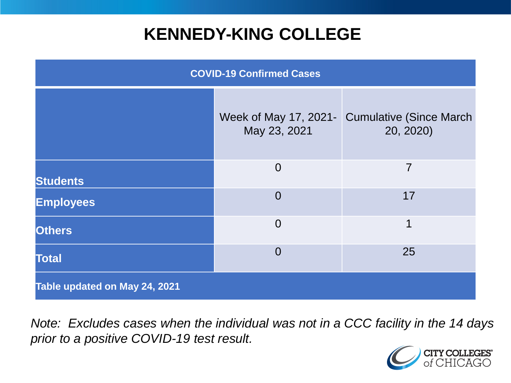### **KENNEDY-KING COLLEGE**

| <b>COVID-19 Confirmed Cases</b> |                                       |                                              |
|---------------------------------|---------------------------------------|----------------------------------------------|
|                                 | Week of May 17, 2021-<br>May 23, 2021 | <b>Cumulative (Since March)</b><br>20, 2020) |
| <b>Students</b>                 | $\overline{0}$                        | 7                                            |
| <b>Employees</b>                | $\overline{0}$                        | 17                                           |
| <b>Others</b>                   | $\overline{0}$                        | 1                                            |
| <b>Total</b>                    | $\overline{0}$                        | 25                                           |
| Table updated on May 24, 2021   |                                       |                                              |

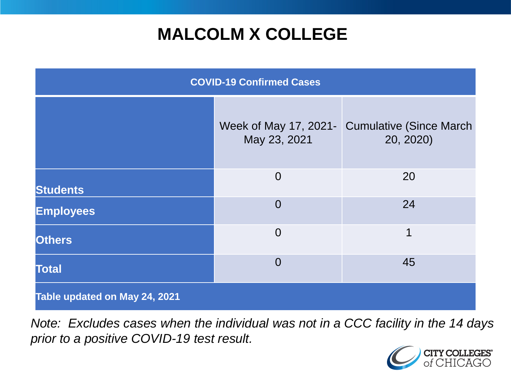# **MALCOLM X COLLEGE**

| <b>COVID-19 Confirmed Cases</b> |                                       |                                              |
|---------------------------------|---------------------------------------|----------------------------------------------|
|                                 | Week of May 17, 2021-<br>May 23, 2021 | <b>Cumulative (Since March)</b><br>20, 2020) |
| <b>Students</b>                 | $\overline{0}$                        | 20                                           |
| <b>Employees</b>                | $\overline{0}$                        | 24                                           |
| <b>Others</b>                   | $\overline{0}$                        | 1                                            |
| <b>Total</b>                    | $\overline{0}$                        | 45                                           |
| Table updated on May 24, 2021   |                                       |                                              |

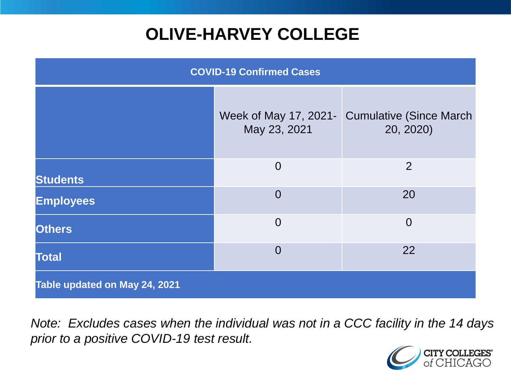# **OLIVE-HARVEY COLLEGE**

| <b>COVID-19 Confirmed Cases</b> |                                       |                                              |
|---------------------------------|---------------------------------------|----------------------------------------------|
|                                 | Week of May 17, 2021-<br>May 23, 2021 | <b>Cumulative (Since March)</b><br>20, 2020) |
| <b>Students</b>                 | $\overline{0}$                        | 2                                            |
| <b>Employees</b>                | $\Omega$                              | 20                                           |
| <b>Others</b>                   | $\overline{0}$                        | $\overline{0}$                               |
| <b>Total</b>                    | $\overline{0}$                        | 22                                           |
| Table updated on May 24, 2021   |                                       |                                              |

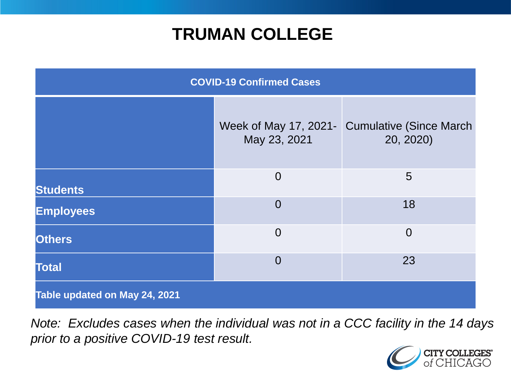### **TRUMAN COLLEGE**

| <b>COVID-19 Confirmed Cases</b> |                                       |                                             |
|---------------------------------|---------------------------------------|---------------------------------------------|
|                                 | Week of May 17, 2021-<br>May 23, 2021 | <b>Cumulative (Since March</b><br>20, 2020) |
| <b>Students</b>                 | $\overline{0}$                        | 5                                           |
| <b>Employees</b>                | $\overline{0}$                        | 18                                          |
| <b>Others</b>                   | $\overline{0}$                        | $\overline{0}$                              |
| <b>Total</b>                    | $\overline{0}$                        | 23                                          |
| Table updated on May 24, 2021   |                                       |                                             |

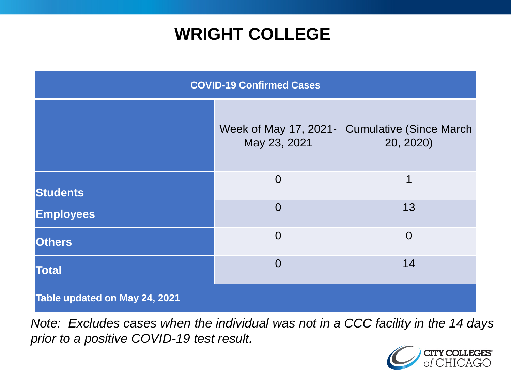### **WRIGHT COLLEGE**

| <b>COVID-19 Confirmed Cases</b> |                                       |                                              |
|---------------------------------|---------------------------------------|----------------------------------------------|
|                                 | Week of May 17, 2021-<br>May 23, 2021 | <b>Cumulative (Since March)</b><br>20, 2020) |
| <b>Students</b>                 | $\overline{0}$                        | 1                                            |
| <b>Employees</b>                | $\overline{0}$                        | 13                                           |
| <b>Others</b>                   | $\overline{0}$                        | $\overline{0}$                               |
| <b>Total</b>                    | $\overline{0}$                        | 14                                           |
| Table updated on May 24, 2021   |                                       |                                              |